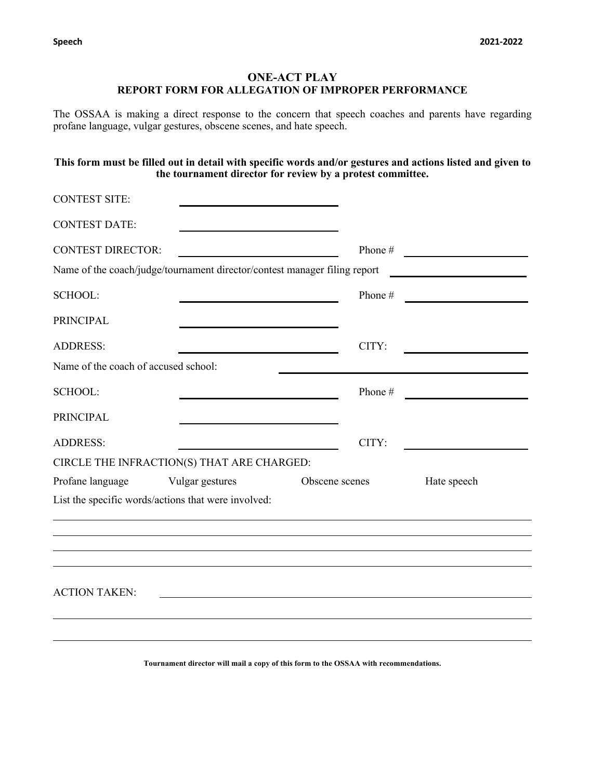# **ONE-ACT PLAY REPORT FORM FOR ALLEGATION OF IMPROPER PERFORMANCE**

The OSSAA is making a direct response to the concern that speech coaches and parents have regarding profane language, vulgar gestures, obscene scenes, and hate speech.

### **This form must be filled out in detail with specific words and/or gestures and actions listed and given to the tournament director for review by a protest committee.**

| <b>CONTEST SITE:</b>                 |                                                                           |                |         |             |  |
|--------------------------------------|---------------------------------------------------------------------------|----------------|---------|-------------|--|
| <b>CONTEST DATE:</b>                 |                                                                           |                |         |             |  |
| <b>CONTEST DIRECTOR:</b>             |                                                                           |                | Phone # |             |  |
|                                      | Name of the coach/judge/tournament director/contest manager filing report |                |         |             |  |
| <b>SCHOOL:</b>                       |                                                                           |                | Phone # |             |  |
| <b>PRINCIPAL</b>                     |                                                                           |                |         |             |  |
| <b>ADDRESS:</b>                      |                                                                           |                | CITY:   |             |  |
| Name of the coach of accused school: |                                                                           |                |         |             |  |
| <b>SCHOOL:</b>                       |                                                                           |                | Phone#  |             |  |
| <b>PRINCIPAL</b>                     |                                                                           |                |         |             |  |
| <b>ADDRESS:</b>                      |                                                                           |                | CITY:   |             |  |
|                                      | CIRCLE THE INFRACTION(S) THAT ARE CHARGED:                                |                |         |             |  |
| Profane language                     | Vulgar gestures                                                           | Obscene scenes |         | Hate speech |  |
|                                      | List the specific words/actions that were involved:                       |                |         |             |  |
|                                      |                                                                           |                |         |             |  |
|                                      |                                                                           |                |         |             |  |
|                                      |                                                                           |                |         |             |  |
| <b>ACTION TAKEN:</b>                 |                                                                           |                |         |             |  |
|                                      |                                                                           |                |         |             |  |
|                                      |                                                                           |                |         |             |  |
|                                      |                                                                           |                |         |             |  |

**Tournament director will mail a copy of this form to the OSSAA with recommendations.**